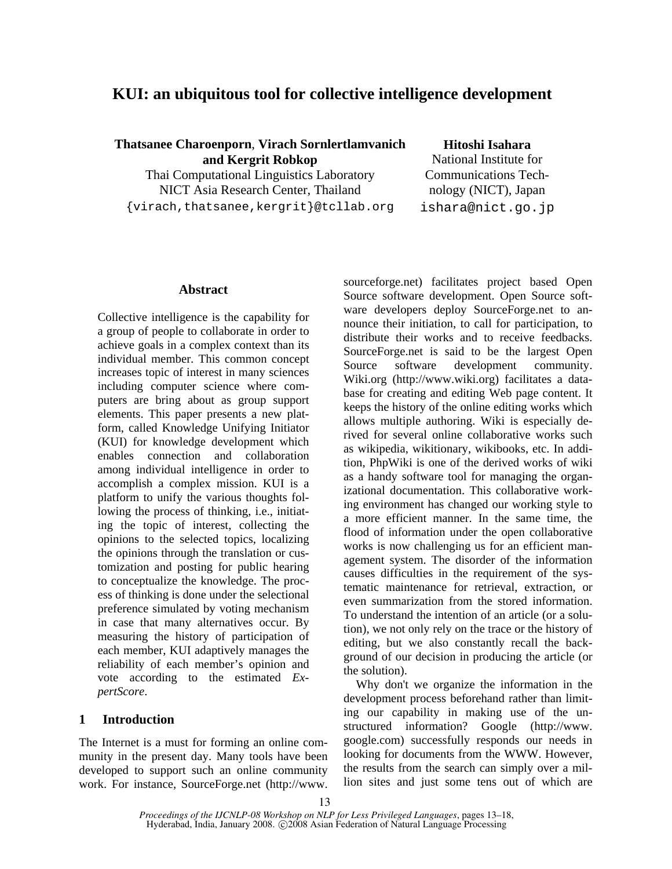# **KUI: an ubiquitous tool for collective intelligence development**

**Thatsanee Charoenporn**, **Virach Sornlertlamvanich and Kergrit Robkop**

Thai Computational Linguistics Laboratory NICT Asia Research Center, Thailand {virach,thatsanee,kergrit}@tcllab.org **Hitoshi Isahara** 

National Institute for Communications Technology (NICT), Japan ishara@nict.go.jp

# **Abstract**

Collective intelligence is the capability for a group of people to collaborate in order to achieve goals in a complex context than its individual member. This common concept increases topic of interest in many sciences including computer science where computers are bring about as group support elements. This paper presents a new platform, called Knowledge Unifying Initiator (KUI) for knowledge development which enables connection and collaboration among individual intelligence in order to accomplish a complex mission. KUI is a platform to unify the various thoughts following the process of thinking, i.e., initiating the topic of interest, collecting the opinions to the selected topics, localizing the opinions through the translation or customization and posting for public hearing to conceptualize the knowledge. The process of thinking is done under the selectional preference simulated by voting mechanism in case that many alternatives occur. By measuring the history of participation of each member, KUI adaptively manages the reliability of each member's opinion and vote according to the estimated *ExpertScore*.

# **1 Introduction**

The Internet is a must for forming an online community in the present day. Many tools have been developed to support such an online community work. For instance, SourceForge.net (http://www. sourceforge.net) facilitates project based Open Source software development. Open Source software developers deploy SourceForge.net to announce their initiation, to call for participation, to distribute their works and to receive feedbacks. SourceForge.net is said to be the largest Open Source software development community. Wiki.org (http://www.wiki.org) facilitates a database for creating and editing Web page content. It keeps the history of the online editing works which allows multiple authoring. Wiki is especially derived for several online collaborative works such as wikipedia, wikitionary, wikibooks, etc. In addition, PhpWiki is one of the derived works of wiki as a handy software tool for managing the organizational documentation. This collaborative working environment has changed our working style to a more efficient manner. In the same time, the flood of information under the open collaborative works is now challenging us for an efficient management system. The disorder of the information causes difficulties in the requirement of the systematic maintenance for retrieval, extraction, or even summarization from the stored information. To understand the intention of an article (or a solution), we not only rely on the trace or the history of editing, but we also constantly recall the background of our decision in producing the article (or the solution).

Why don't we organize the information in the development process beforehand rather than limiting our capability in making use of the unstructured information? Google (http://www. google.com) successfully responds our needs in looking for documents from the WWW. However, the results from the search can simply over a million sites and just some tens out of which are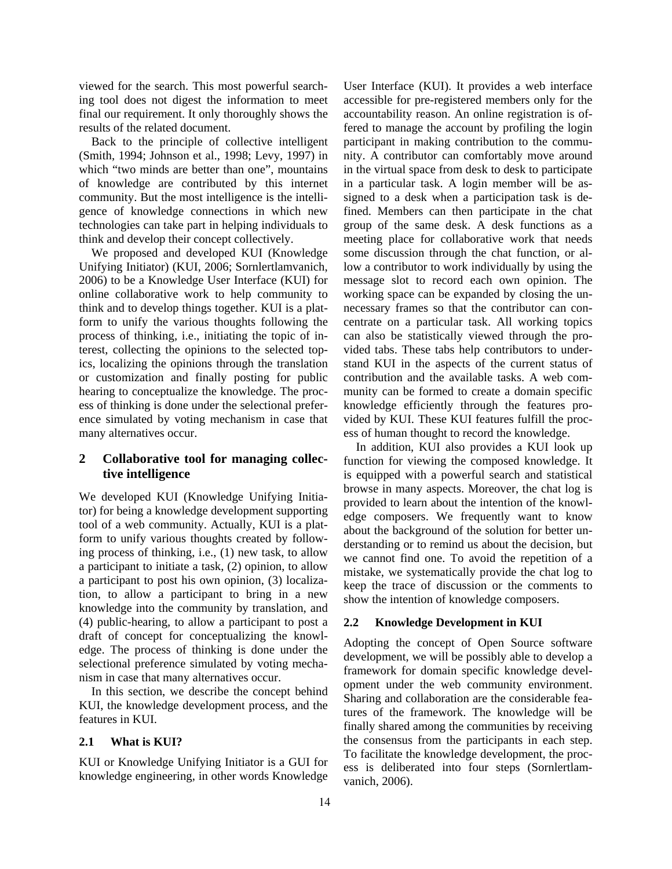viewed for the search. This most powerful searching tool does not digest the information to meet final our requirement. It only thoroughly shows the results of the related document.

Back to the principle of collective intelligent (Smith, 1994; Johnson et al., 1998; Levy, 1997) in which "two minds are better than one", mountains of knowledge are contributed by this internet community. But the most intelligence is the intelligence of knowledge connections in which new technologies can take part in helping individuals to think and develop their concept collectively.

We proposed and developed KUI (Knowledge Unifying Initiator) (KUI, 2006; Sornlertlamvanich, 2006) to be a Knowledge User Interface (KUI) for online collaborative work to help community to think and to develop things together. KUI is a platform to unify the various thoughts following the process of thinking, i.e., initiating the topic of interest, collecting the opinions to the selected topics, localizing the opinions through the translation or customization and finally posting for public hearing to conceptualize the knowledge. The process of thinking is done under the selectional preference simulated by voting mechanism in case that many alternatives occur.

# **2 Collaborative tool for managing collective intelligence**

We developed KUI (Knowledge Unifying Initiator) for being a knowledge development supporting tool of a web community. Actually, KUI is a platform to unify various thoughts created by following process of thinking, i.e., (1) new task, to allow a participant to initiate a task, (2) opinion, to allow a participant to post his own opinion, (3) localization, to allow a participant to bring in a new knowledge into the community by translation, and (4) public-hearing, to allow a participant to post a draft of concept for conceptualizing the knowledge. The process of thinking is done under the selectional preference simulated by voting mechanism in case that many alternatives occur.

In this section, we describe the concept behind KUI, the knowledge development process, and the features in KUI.

# **2.1 What is KUI?**

KUI or Knowledge Unifying Initiator is a GUI for knowledge engineering, in other words Knowledge User Interface (KUI). It provides a web interface accessible for pre-registered members only for the accountability reason. An online registration is offered to manage the account by profiling the login participant in making contribution to the community. A contributor can comfortably move around in the virtual space from desk to desk to participate in a particular task. A login member will be assigned to a desk when a participation task is defined. Members can then participate in the chat group of the same desk. A desk functions as a meeting place for collaborative work that needs some discussion through the chat function, or allow a contributor to work individually by using the message slot to record each own opinion. The working space can be expanded by closing the unnecessary frames so that the contributor can concentrate on a particular task. All working topics can also be statistically viewed through the provided tabs. These tabs help contributors to understand KUI in the aspects of the current status of contribution and the available tasks. A web community can be formed to create a domain specific knowledge efficiently through the features provided by KUI. These KUI features fulfill the process of human thought to record the knowledge.

In addition, KUI also provides a KUI look up function for viewing the composed knowledge. It is equipped with a powerful search and statistical browse in many aspects. Moreover, the chat log is provided to learn about the intention of the knowledge composers. We frequently want to know about the background of the solution for better understanding or to remind us about the decision, but we cannot find one. To avoid the repetition of a mistake, we systematically provide the chat log to keep the trace of discussion or the comments to show the intention of knowledge composers.

# **2.2 Knowledge Development in KUI**

Adopting the concept of Open Source software development, we will be possibly able to develop a framework for domain specific knowledge development under the web community environment. Sharing and collaboration are the considerable features of the framework. The knowledge will be finally shared among the communities by receiving the consensus from the participants in each step. To facilitate the knowledge development, the process is deliberated into four steps (Sornlertlamvanich, 2006).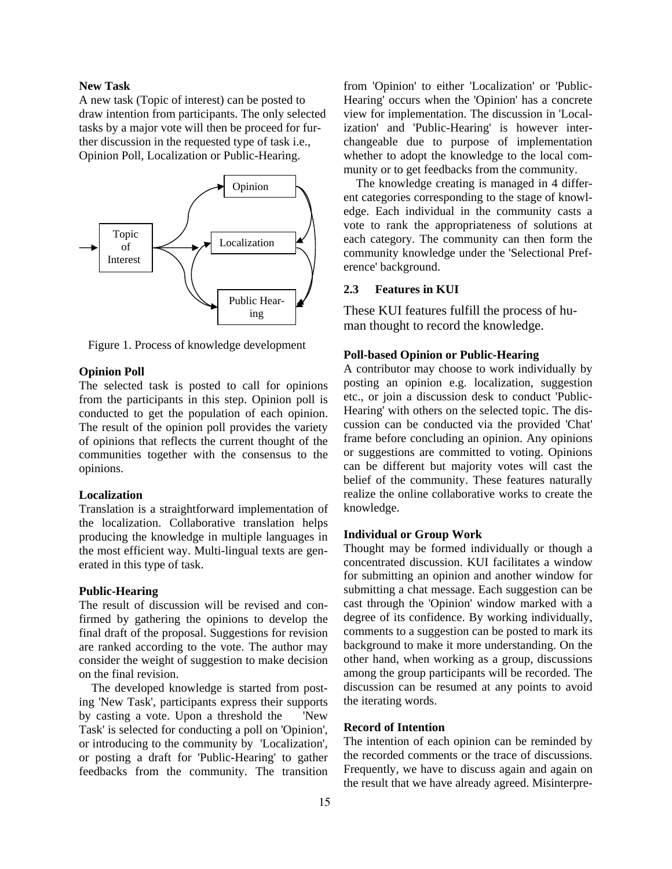#### **New Task**

A new task (Topic of interest) can be posted to draw intention from participants. The only selected tasks by a major vote will then be proceed for further discussion in the requested type of task i.e., Opinion Poll, Localization or Public-Hearing.



Figure 1. Process of knowledge development

# **Opinion Poll**

The selected task is posted to call for opinions from the participants in this step. Opinion poll is conducted to get the population of each opinion. The result of the opinion poll provides the variety of opinions that reflects the current thought of the communities together with the consensus to the opinions.

#### **Localization**

Translation is a straightforward implementation of the localization. Collaborative translation helps producing the knowledge in multiple languages in the most efficient way. Multi-lingual texts are generated in this type of task.

### **Public-Hearing**

The result of discussion will be revised and confirmed by gathering the opinions to develop the final draft of the proposal. Suggestions for revision are ranked according to the vote. The author may consider the weight of suggestion to make decision on the final revision.

The developed knowledge is started from posting 'New Task', participants express their supports by casting a vote. Upon a threshold the 'New Task' is selected for conducting a poll on 'Opinion', or introducing to the community by 'Localization', or posting a draft for 'Public-Hearing' to gather feedbacks from the community. The transition from 'Opinion' to either 'Localization' or 'Public-Hearing' occurs when the 'Opinion' has a concrete view for implementation. The discussion in 'Localization' and 'Public-Hearing' is however interchangeable due to purpose of implementation whether to adopt the knowledge to the local community or to get feedbacks from the community.

The knowledge creating is managed in 4 different categories corresponding to the stage of knowledge. Each individual in the community casts a vote to rank the appropriateness of solutions at each category. The community can then form the community knowledge under the 'Selectional Preference' background.

#### **2.3 Features in KUI**

These KUI features fulfill the process of human thought to record the knowledge.

#### **Poll-based Opinion or Public-Hearing**

A contributor may choose to work individually by posting an opinion e.g. localization, suggestion etc., or join a discussion desk to conduct 'Public-Hearing' with others on the selected topic. The discussion can be conducted via the provided 'Chat' frame before concluding an opinion. Any opinions or suggestions are committed to voting. Opinions can be different but majority votes will cast the belief of the community. These features naturally realize the online collaborative works to create the knowledge.

# **Individual or Group Work**

Thought may be formed individually or though a concentrated discussion. KUI facilitates a window for submitting an opinion and another window for submitting a chat message. Each suggestion can be cast through the 'Opinion' window marked with a degree of its confidence. By working individually, comments to a suggestion can be posted to mark its background to make it more understanding. On the other hand, when working as a group, discussions among the group participants will be recorded. The discussion can be resumed at any points to avoid the iterating words.

#### **Record of Intention**

The intention of each opinion can be reminded by the recorded comments or the trace of discussions. Frequently, we have to discuss again and again on the result that we have already agreed. Misinterpre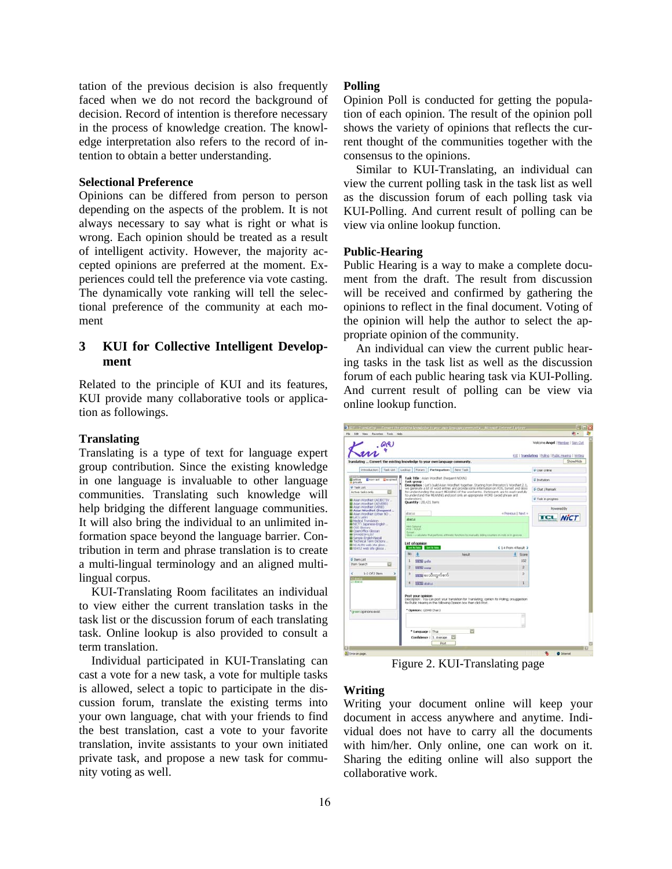tation of the previous decision is also frequently faced when we do not record the background of decision. Record of intention is therefore necessary in the process of knowledge creation. The knowledge interpretation also refers to the record of intention to obtain a better understanding.

#### **Selectional Preference**

Opinions can be differed from person to person depending on the aspects of the problem. It is not always necessary to say what is right or what is wrong. Each opinion should be treated as a result of intelligent activity. However, the majority accepted opinions are preferred at the moment. Experiences could tell the preference via vote casting. The dynamically vote ranking will tell the selectional preference of the community at each moment

# **3 KUI for Collective Intelligent Development**

Related to the principle of KUI and its features, KUI provide many collaborative tools or application as followings.

#### **Translating**

Translating is a type of text for language expert group contribution. Since the existing knowledge in one language is invaluable to other language communities. Translating such knowledge will help bridging the different language communities. It will also bring the individual to an unlimited information space beyond the language barrier. Contribution in term and phrase translation is to create a multi-lingual terminology and an aligned multilingual corpus.

KUI-Translating Room facilitates an individual to view either the current translation tasks in the task list or the discussion forum of each translating task. Online lookup is also provided to consult a term translation.

Individual participated in KUI-Translating can cast a vote for a new task, a vote for multiple tasks is allowed, select a topic to participate in the discussion forum, translate the existing terms into your own language, chat with your friends to find the best translation, cast a vote to your favorite translation, invite assistants to your own initiated private task, and propose a new task for community voting as well.

#### **Polling**

Opinion Poll is conducted for getting the population of each opinion. The result of the opinion poll shows the variety of opinions that reflects the current thought of the communities together with the consensus to the opinions.

Similar to KUI-Translating, an individual can view the current polling task in the task list as well as the discussion forum of each polling task via KUI-Polling. And current result of polling can be view via online lookup function.

#### **Public-Hearing**

Public Hearing is a way to make a complete document from the draft. The result from discussion will be received and confirmed by gathering the opinions to reflect in the final document. Voting of the opinion will help the author to select the appropriate opinion of the community.

An individual can view the current public hearing tasks in the task list as well as the discussion forum of each public hearing task via KUI-Polling. And current result of polling can be view via online lookup function.

|                                                                                                 |                                                                                                                                                                                       |                                                                                                                                                                   |                       | Welcome Angel / Hember / Sign Out                     |  |
|-------------------------------------------------------------------------------------------------|---------------------------------------------------------------------------------------------------------------------------------------------------------------------------------------|-------------------------------------------------------------------------------------------------------------------------------------------------------------------|-----------------------|-------------------------------------------------------|--|
| <b>AR</b>                                                                                       |                                                                                                                                                                                       |                                                                                                                                                                   |                       | 63/6   Translating   Roling   Rubic Hearing   Writing |  |
| Translating  Convert the existing knowledge to your own language community.                     |                                                                                                                                                                                       |                                                                                                                                                                   |                       | Showfride                                             |  |
| Introduction Task List                                                                          |                                                                                                                                                                                       | Lookip Forum   Participation   New Task                                                                                                                           |                       | <b>Silver online</b>                                  |  |
| Electrant Electrad<br>El ective                                                                 |                                                                                                                                                                                       | Task Title : Asian Wordfielt (frequent NOUN)                                                                                                                      |                       | <b>U Invitation</b>                                   |  |
| <b>A</b> private                                                                                |                                                                                                                                                                                       | Task group:<br>Description : Let's build Asian WordNet together. Starting from Princeton's WordNet 2.1.                                                           |                       |                                                       |  |
| 5-Task List<br>Active tasks only                                                                | we generate a list of word entries and provide some information on POS. Synset and Gloss<br>for understanding the exact MEM/ING of the word entry. Participants are to read carefully |                                                                                                                                                                   |                       | 5 Chat / Remark                                       |  |
| B Assn Wordfast (AD30CT2V                                                                       | exploration).                                                                                                                                                                         | to understand the NEANDAG and port only an appropriate WORD (avoid phrase and                                                                                     |                       |                                                       |  |
| Asian Wordhart (ADVERE)<br><b>B</b> Asian Wordfaet (VERB)                                       | Quantity: 20.421 Items                                                                                                                                                                |                                                                                                                                                                   |                       |                                                       |  |
| 43 Asian Wordhiet (Trequent<br>El Allan Worchart Cother NO                                      | sharizo                                                                                                                                                                               | « Prevezza   Nevit »                                                                                                                                              |                       | Powered By                                            |  |
| <b>BLut's Latini</b>                                                                            | <b>JEWSA</b>                                                                                                                                                                          |                                                                                                                                                                   |                       | <b>TCL NICT</b>                                       |  |
| <b>El Mode al Travislation</b><br><b>B</b> NICT's Japanese English                              | <b>Heil California</b>                                                                                                                                                                |                                                                                                                                                                   |                       |                                                       |  |
| <b>BE CASS GROUNDER</b><br><b>B</b> CoenCifica Glossary                                         | <b>PUS LIKEER</b><br><b><i><u>Contract</u></i></b>                                                                                                                                    |                                                                                                                                                                   |                       |                                                       |  |
| <b>BESHACKSHILST</b><br><b>B</b> Sample English-Nepali                                          |                                                                                                                                                                                       | these a calculate that perform arthronic functions by manually thing sounders an reds or in grocere.                                                              |                       |                                                       |  |
| <b>B</b> Technical Term Dictiona<br>a hd-ALRN web site gibs                                     | List of opinion                                                                                                                                                                       |                                                                                                                                                                   |                       |                                                       |  |
| A tcl-t1.E web site does                                                                        | Set Ny Date : Bell Ny Mile                                                                                                                                                            |                                                                                                                                                                   | C 1-4 From 4 Result 3 |                                                       |  |
|                                                                                                 | No<br>×                                                                                                                                                                               | <b>Basicit</b>                                                                                                                                                    | Score                 |                                                       |  |
|                                                                                                 | 1<br><b>SWITH</b> archiv                                                                                                                                                              |                                                                                                                                                                   | 102                   |                                                       |  |
|                                                                                                 |                                                                                                                                                                                       |                                                                                                                                                                   |                       |                                                       |  |
| a                                                                                               | $\overline{z}$<br>STEED support                                                                                                                                                       |                                                                                                                                                                   | ż                     |                                                       |  |
| 1-2 Of 2 Jans                                                                                   | э<br><u>www.coolrogobe.ob</u>                                                                                                                                                         |                                                                                                                                                                   | э                     |                                                       |  |
|                                                                                                 | <b>STEEL SCHOOLS</b>                                                                                                                                                                  |                                                                                                                                                                   |                       |                                                       |  |
|                                                                                                 |                                                                                                                                                                                       |                                                                                                                                                                   |                       |                                                       |  |
|                                                                                                 | Post your openon.                                                                                                                                                                     |                                                                                                                                                                   |                       |                                                       |  |
|                                                                                                 |                                                                                                                                                                                       | Description : You can post your translation for Translating; opinion for Poling; orsuggestion.<br>for Public Hearing in the following Opinion box then did: Post. |                       |                                                       |  |
|                                                                                                 | * Opinion : (2040 Chiri)                                                                                                                                                              |                                                                                                                                                                   |                       |                                                       |  |
|                                                                                                 |                                                                                                                                                                                       |                                                                                                                                                                   |                       |                                                       |  |
|                                                                                                 |                                                                                                                                                                                       |                                                                                                                                                                   |                       |                                                       |  |
| <b>S Them List</b><br><b>Item Search</b><br>$\epsilon$<br>23 Minister<br>*creen:opinions exist. | * Language : This                                                                                                                                                                     | a                                                                                                                                                                 |                       |                                                       |  |

Figure 2. KUI-Translating page

### **Writing**

Writing your document online will keep your document in access anywhere and anytime. Individual does not have to carry all the documents with him/her. Only online, one can work on it. Sharing the editing online will also support the collaborative work.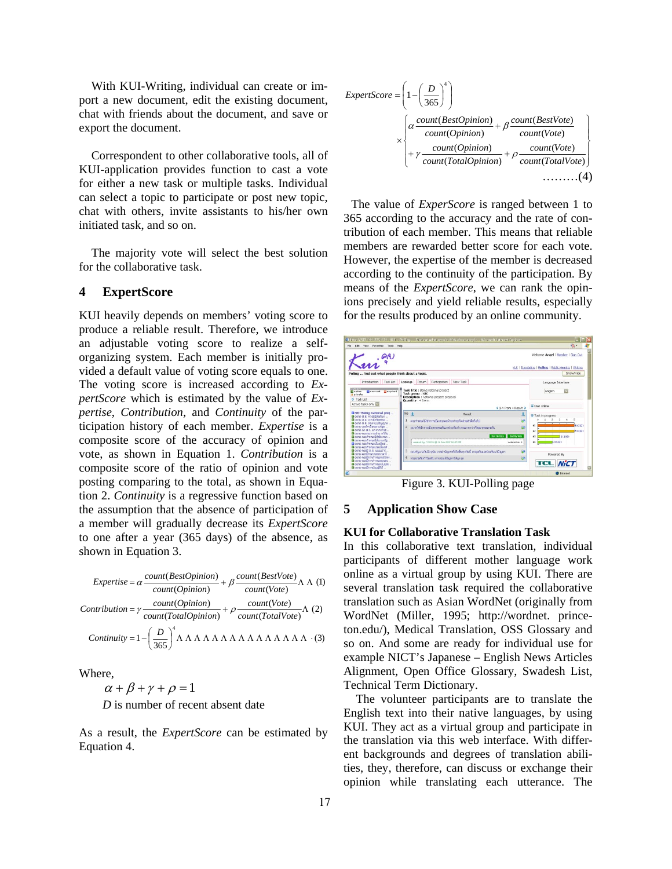With KUI-Writing, individual can create or import a new document, edit the existing document, chat with friends about the document, and save or export the document.

Correspondent to other collaborative tools, all of KUI-application provides function to cast a vote for either a new task or multiple tasks. Individual can select a topic to participate or post new topic, chat with others, invite assistants to his/her own initiated task, and so on.

The majority vote will select the best solution for the collaborative task.

### **4 ExpertScore**

KUI heavily depends on members' voting score to produce a reliable result. Therefore, we introduce an adjustable voting score to realize a selforganizing system. Each member is initially provided a default value of voting score equals to one. The voting score is increased according to *ExpertScore* which is estimated by the value of *Expertise*, *Contribution*, and *Continuity* of the participation history of each member. *Expertise* is a composite score of the accuracy of opinion and vote, as shown in Equation 1. *Contribution* is a composite score of the ratio of opinion and vote posting comparing to the total, as shown in Equation 2. *Continuity* is a regressive function based on the assumption that the absence of participation of a member will gradually decrease its *ExpertScore* to one after a year (365 days) of the absence, as shown in Equation 3.

| $Expertise = \alpha \frac{count(BestOption)}{count(Option)} + \beta \frac{count(BestVote)}{count(Vote)} \Lambda \Lambda$ (1) |
|------------------------------------------------------------------------------------------------------------------------------|
| Contribution = $\gamma \frac{count(Opinion)}{count(TotalOpinion)} + \rho \frac{count(Vote)}{count(TotalVote)} \Lambda$ (2)   |
|                                                                                                                              |

Where,

 $\alpha + \beta + \gamma + \rho = 1$ *D* is number of recent absent date

As a result, the *ExpertScore* can be estimated by Equation 4.

$$
ExpertScore = \left(1 - \left(\frac{D}{365}\right)^4\right)
$$
  
\n
$$
\times \left\{\alpha \frac{count(BestOption)}{count(Option)} + \beta \frac{count(BestVote)}{count(Vote)} + \gamma \frac{count(Dpinion)}{count(TotalOption)} + \rho \frac{count(Vote)}{count(TotalVote)}\right\}
$$
  
\n+  $\gamma \frac{count(TotalOption)}{count(TotalOption)} + \rho \frac{count(Vote)}{count(TotalVote)}$  (4)

The value of *ExperScore* is ranged between 1 to 365 according to the accuracy and the rate of contribution of each member. This means that reliable members are rewarded better score for each vote. However, the expertise of the member is decreased according to the continuity of the participation. By means of the *ExpertScore*, we can rank the opinions precisely and yield reliable results, especially for the results produced by an online community.



Figure 3. KUI-Polling page

### **5 Application Show Case**

#### **KUI for Collaborative Translation Task**

In this collaborative text translation, individual participants of different mother language work online as a virtual group by using KUI. There are several translation task required the collaborative translation such as Asian WordNet (originally from WordNet (Miller, 1995; http://wordnet. princeton.edu/), Medical Translation, OSS Glossary and so on. And some are ready for individual use for example NICT's Japanese – English News Articles Alignment, Open Office Glossary, Swadesh List, Technical Term Dictionary.

The volunteer participants are to translate the English text into their native languages, by using KUI. They act as a virtual group and participate in the translation via this web interface. With different backgrounds and degrees of translation abilities, they, therefore, can discuss or exchange their opinion while translating each utterance. The